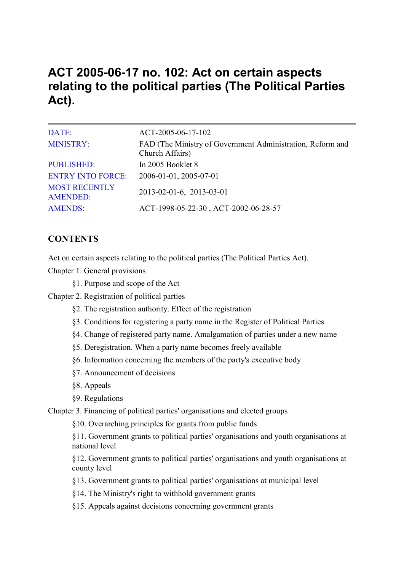# **ACT 2005-06-17 no. 102: Act on certain aspects relating to the political parties (The Political Parties Act).**

| DATE:                                   | ACT-2005-06-17-102                                                            |
|-----------------------------------------|-------------------------------------------------------------------------------|
| <b>MINISTRY:</b>                        | FAD (The Ministry of Government Administration, Reform and<br>Church Affairs) |
| <b>PUBLISHED:</b>                       | In 2005 Booklet 8                                                             |
| <b>ENTRY INTO FORCE:</b>                | 2006-01-01, 2005-07-01                                                        |
| <b>MOST RECENTLY</b><br><b>AMENDED:</b> | 2013-02-01-6, 2013-03-01                                                      |
| <b>AMENDS:</b>                          | ACT-1998-05-22-30, ACT-2002-06-28-57                                          |

# **CONTENTS**

Act on certain aspects relating to the political parties (The Political Parties Act).

Chapter 1. General provisions

§1. Purpose and scope of the Act

Chapter 2. Registration of political parties

- §2. The registration authority. Effect of the registration
- §3. Conditions for registering a party name in the Register of Political Parties
- §4. Change of registered party name. Amalgamation of parties under a new name
- §5. Deregistration. When a party name becomes freely available
- §6. Information concerning the members of the party's executive body
- §7. Announcement of decisions
- §8. Appeals
- §9. Regulations

Chapter 3. Financing of political parties' organisations and elected groups

§10. Overarching principles for grants from public funds

§11. Government grants to political parties' organisations and youth organisations at national level

§12. Government grants to political parties' organisations and youth organisations at county level

- §13. Government grants to political parties' organisations at municipal level
- §14. The Ministry's right to withhold government grants
- §15. Appeals against decisions concerning government grants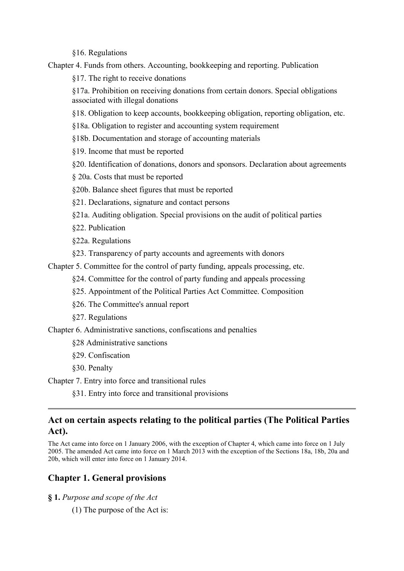§16. Regulations

Chapter 4. Funds from others. Accounting, bookkeeping and reporting. Publication

§17. The right to receive donations

§17a. Prohibition on receiving donations from certain donors. Special obligations associated with illegal donations

§18. Obligation to keep accounts, bookkeeping obligation, reporting obligation, etc.

§18a. Obligation to register and accounting system requirement

§18b. Documentation and storage of accounting materials

§19. Income that must be reported

§20. Identification of donations, donors and sponsors. Declaration about agreements

§ 20a. Costs that must be reported

§20b. Balance sheet figures that must be reported

§21. Declarations, signature and contact persons

§21a. Auditing obligation. Special provisions on the audit of political parties

§22. Publication

§22a. Regulations

§23. Transparency of party accounts and agreements with donors

Chapter 5. Committee for the control of party funding, appeals processing, etc.

§24. Committee for the control of party funding and appeals processing

§25. Appointment of the Political Parties Act Committee. Composition

§26. The Committee's annual report

§27. Regulations

Chapter 6. Administrative sanctions, confiscations and penalties

§28 Administrative sanctions

§29. Confiscation

§30. Penalty

Chapter 7. Entry into force and transitional rules

§31. Entry into force and transitional provisions

# **Act on certain aspects relating to the political parties (The Political Parties Act).**

The Act came into force on 1 January 2006, with the exception of Chapter 4, which came into force on 1 July 2005. The amended Act came into force on 1 March 2013 with the exception of the Sections 18a, 18b, 20a and 20b, which will enter into force on 1 January 2014.

# **Chapter 1. General provisions**

**§ 1.** *Purpose and scope of the Act*

(1) The purpose of the Act is: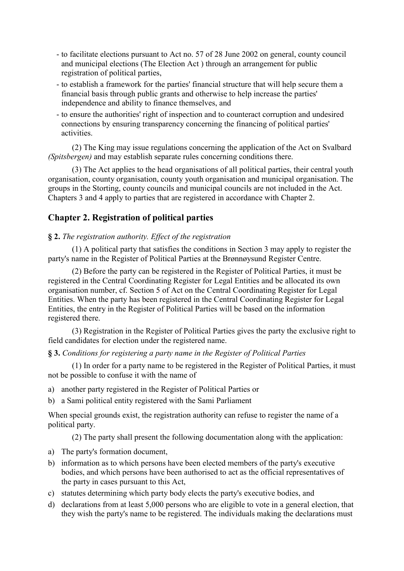- to facilitate elections pursuant to Act no. 57 of 28 June 2002 on general, county council and municipal elections (The Election Act ) through an arrangement for public registration of political parties,
- to establish a framework for the parties' financial structure that will help secure them a financial basis through public grants and otherwise to help increase the parties' independence and ability to finance themselves, and
- to ensure the authorities' right of inspection and to counteract corruption and undesired connections by ensuring transparency concerning the financing of political parties' activities.

(2) The King may issue regulations concerning the application of the Act on Svalbard *(Spitsbergen)* and may establish separate rules concerning conditions there.

(3) The Act applies to the head organisations of all political parties, their central youth organisation, county organisation, county youth organisation and municipal organisation. The groups in the Storting, county councils and municipal councils are not included in the Act. Chapters 3 and 4 apply to parties that are registered in accordance with Chapter 2.

# **Chapter 2. Registration of political parties**

### **§ 2.** *The registration authority. Effect of the registration*

(1) A political party that satisfies the conditions in Section 3 may apply to register the party's name in the Register of Political Parties at the Brønnøysund Register Centre.

(2) Before the party can be registered in the Register of Political Parties, it must be registered in the Central Coordinating Register for Legal Entities and be allocated its own organisation number, cf. Section 5 of Act on the Central Coordinating Register for Legal Entities. When the party has been registered in the Central Coordinating Register for Legal Entities, the entry in the Register of Political Parties will be based on the information registered there.

(3) Registration in the Register of Political Parties gives the party the exclusive right to field candidates for election under the registered name.

### **§ 3.** *Conditions for registering a party name in the Register of Political Parties*

(1) In order for a party name to be registered in the Register of Political Parties, it must not be possible to confuse it with the name of

- a) another party registered in the Register of Political Parties or
- b) a Sami political entity registered with the Sami Parliament

When special grounds exist, the registration authority can refuse to register the name of a political party.

(2) The party shall present the following documentation along with the application:

- a) The party's formation document,
- b) information as to which persons have been elected members of the party's executive bodies, and which persons have been authorised to act as the official representatives of the party in cases pursuant to this Act,
- c) statutes determining which party body elects the party's executive bodies, and
- d) declarations from at least 5,000 persons who are eligible to vote in a general election, that they wish the party's name to be registered. The individuals making the declarations must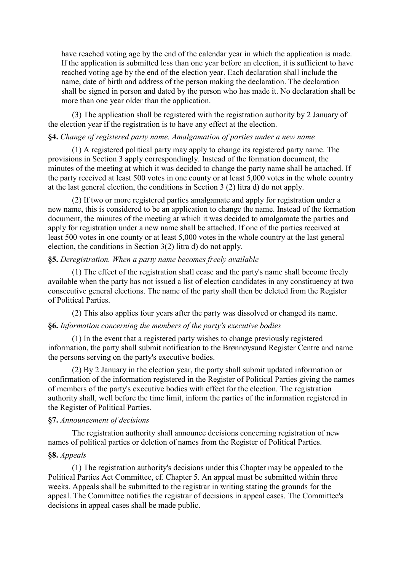have reached voting age by the end of the calendar year in which the application is made. If the application is submitted less than one year before an election, it is sufficient to have reached voting age by the end of the election year. Each declaration shall include the name, date of birth and address of the person making the declaration. The declaration shall be signed in person and dated by the person who has made it. No declaration shall be more than one year older than the application.

(3) The application shall be registered with the registration authority by 2 January of the election year if the registration is to have any effect at the election.

### **§4.** *Change of registered party name. Amalgamation of parties under a new name*

(1) A registered political party may apply to change its registered party name. The provisions in Section 3 apply correspondingly. Instead of the formation document, the minutes of the meeting at which it was decided to change the party name shall be attached. If the party received at least 500 votes in one county or at least 5,000 votes in the whole country at the last general election, the conditions in Section 3 (2) litra d) do not apply.

(2) If two or more registered parties amalgamate and apply for registration under a new name, this is considered to be an application to change the name. Instead of the formation document, the minutes of the meeting at which it was decided to amalgamate the parties and apply for registration under a new name shall be attached. If one of the parties received at least 500 votes in one county or at least 5,000 votes in the whole country at the last general election, the conditions in Section 3(2) litra d) do not apply.

#### **§5.** *Deregistration. When a party name becomes freely available*

(1) The effect of the registration shall cease and the party's name shall become freely available when the party has not issued a list of election candidates in any constituency at two consecutive general elections. The name of the party shall then be deleted from the Register of Political Parties.

(2) This also applies four years after the party was dissolved or changed its name.

#### **§6.** *Information concerning the members of the party's executive bodies*

(1) In the event that a registered party wishes to change previously registered information, the party shall submit notification to the Brønnøysund Register Centre and name the persons serving on the party's executive bodies.

(2) By 2 January in the election year, the party shall submit updated information or confirmation of the information registered in the Register of Political Parties giving the names of members of the party's executive bodies with effect for the election. The registration authority shall, well before the time limit, inform the parties of the information registered in the Register of Political Parties.

#### **§7.** *Announcement of decisions*

The registration authority shall announce decisions concerning registration of new names of political parties or deletion of names from the Register of Political Parties.

#### **§8.** *Appeals*

(1) The registration authority's decisions under this Chapter may be appealed to the Political Parties Act Committee, cf. Chapter 5. An appeal must be submitted within three weeks. Appeals shall be submitted to the registrar in writing stating the grounds for the appeal. The Committee notifies the registrar of decisions in appeal cases. The Committee's decisions in appeal cases shall be made public.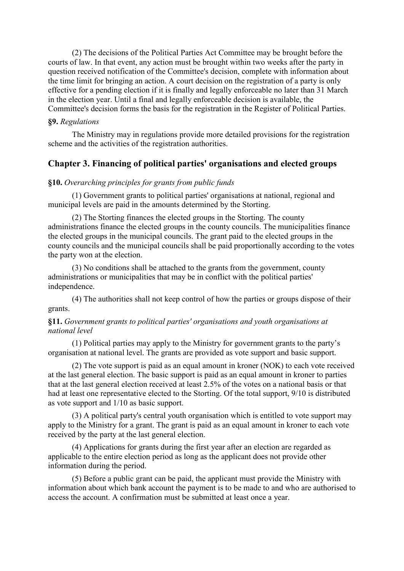(2) The decisions of the Political Parties Act Committee may be brought before the courts of law. In that event, any action must be brought within two weeks after the party in question received notification of the Committee's decision, complete with information about the time limit for bringing an action. A court decision on the registration of a party is only effective for a pending election if it is finally and legally enforceable no later than 31 March in the election year. Until a final and legally enforceable decision is available, the Committee's decision forms the basis for the registration in the Register of Political Parties.

### **§9.** *Regulations*

The Ministry may in regulations provide more detailed provisions for the registration scheme and the activities of the registration authorities.

# **Chapter 3. Financing of political parties' organisations and elected groups**

### **§10.** *Overarching principles for grants from public funds*

(1) Government grants to political parties' organisations at national, regional and municipal levels are paid in the amounts determined by the Storting.

(2) The Storting finances the elected groups in the Storting. The county administrations finance the elected groups in the county councils. The municipalities finance the elected groups in the municipal councils. The grant paid to the elected groups in the county councils and the municipal councils shall be paid proportionally according to the votes the party won at the election.

(3) No conditions shall be attached to the grants from the government, county administrations or municipalities that may be in conflict with the political parties' independence.

(4) The authorities shall not keep control of how the parties or groups dispose of their grants.

### **§11.** *Government grants to political parties' organisations and youth organisations at national level*

(1) Political parties may apply to the Ministry for government grants to the party's organisation at national level. The grants are provided as vote support and basic support.

(2) The vote support is paid as an equal amount in kroner (NOK) to each vote received at the last general election. The basic support is paid as an equal amount in kroner to parties that at the last general election received at least 2.5% of the votes on a national basis or that had at least one representative elected to the Storting. Of the total support, 9/10 is distributed as vote support and 1/10 as basic support.

(3) A political party's central youth organisation which is entitled to vote support may apply to the Ministry for a grant. The grant is paid as an equal amount in kroner to each vote received by the party at the last general election.

(4) Applications for grants during the first year after an election are regarded as applicable to the entire election period as long as the applicant does not provide other information during the period.

(5) Before a public grant can be paid, the applicant must provide the Ministry with information about which bank account the payment is to be made to and who are authorised to access the account. A confirmation must be submitted at least once a year.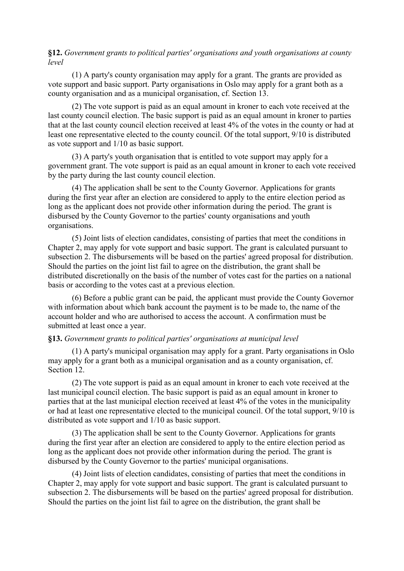**§12.** *Government grants to political parties' organisations and youth organisations at county level* 

(1) A party's county organisation may apply for a grant. The grants are provided as vote support and basic support. Party organisations in Oslo may apply for a grant both as a county organisation and as a municipal organisation, cf. Section 13.

(2) The vote support is paid as an equal amount in kroner to each vote received at the last county council election. The basic support is paid as an equal amount in kroner to parties that at the last county council election received at least 4% of the votes in the county or had at least one representative elected to the county council. Of the total support, 9/10 is distributed as vote support and 1/10 as basic support.

(3) A party's youth organisation that is entitled to vote support may apply for a government grant. The vote support is paid as an equal amount in kroner to each vote received by the party during the last county council election.

(4) The application shall be sent to the County Governor. Applications for grants during the first year after an election are considered to apply to the entire election period as long as the applicant does not provide other information during the period. The grant is disbursed by the County Governor to the parties' county organisations and youth organisations.

(5) Joint lists of election candidates, consisting of parties that meet the conditions in Chapter 2, may apply for vote support and basic support. The grant is calculated pursuant to subsection 2. The disbursements will be based on the parties' agreed proposal for distribution. Should the parties on the joint list fail to agree on the distribution, the grant shall be distributed discretionally on the basis of the number of votes cast for the parties on a national basis or according to the votes cast at a previous election.

(6) Before a public grant can be paid, the applicant must provide the County Governor with information about which bank account the payment is to be made to, the name of the account holder and who are authorised to access the account. A confirmation must be submitted at least once a year.

### **§13.** *Government grants to political parties' organisations at municipal level*

(1) A party's municipal organisation may apply for a grant. Party organisations in Oslo may apply for a grant both as a municipal organisation and as a county organisation, cf. Section 12.

(2) The vote support is paid as an equal amount in kroner to each vote received at the last municipal council election. The basic support is paid as an equal amount in kroner to parties that at the last municipal election received at least 4% of the votes in the municipality or had at least one representative elected to the municipal council. Of the total support, 9/10 is distributed as vote support and 1/10 as basic support.

(3) The application shall be sent to the County Governor. Applications for grants during the first year after an election are considered to apply to the entire election period as long as the applicant does not provide other information during the period. The grant is disbursed by the County Governor to the parties' municipal organisations.

(4) Joint lists of election candidates, consisting of parties that meet the conditions in Chapter 2, may apply for vote support and basic support. The grant is calculated pursuant to subsection 2. The disbursements will be based on the parties' agreed proposal for distribution. Should the parties on the joint list fail to agree on the distribution, the grant shall be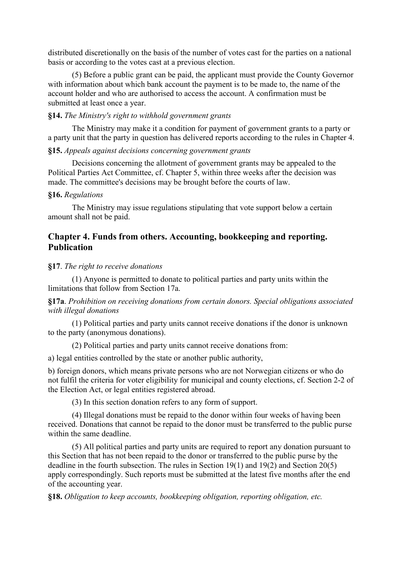distributed discretionally on the basis of the number of votes cast for the parties on a national basis or according to the votes cast at a previous election.

(5) Before a public grant can be paid, the applicant must provide the County Governor with information about which bank account the payment is to be made to, the name of the account holder and who are authorised to access the account. A confirmation must be submitted at least once a year.

### **§14.** *The Ministry's right to withhold government grants*

The Ministry may make it a condition for payment of government grants to a party or a party unit that the party in question has delivered reports according to the rules in Chapter 4.

### **§15.** *Appeals against decisions concerning government grants*

Decisions concerning the allotment of government grants may be appealed to the Political Parties Act Committee, cf. Chapter 5, within three weeks after the decision was made. The committee's decisions may be brought before the courts of law.

### **§16.** *Regulations*

The Ministry may issue regulations stipulating that vote support below a certain amount shall not be paid.

## **Chapter 4. Funds from others. Accounting, bookkeeping and reporting. Publication**

### **§17**. *The right to receive donations*

(1) Anyone is permitted to donate to political parties and party units within the limitations that follow from Section 17a.

**§17a**. *Prohibition on receiving donations from certain donors. Special obligations associated with illegal donations*

(1) Political parties and party units cannot receive donations if the donor is unknown to the party (anonymous donations).

(2) Political parties and party units cannot receive donations from:

a) legal entities controlled by the state or another public authority,

b) foreign donors, which means private persons who are not Norwegian citizens or who do not fulfil the criteria for voter eligibility for municipal and county elections, cf. Section 2-2 of the Election Act, or legal entities registered abroad.

(3) In this section donation refers to any form of support.

(4) Illegal donations must be repaid to the donor within four weeks of having been received. Donations that cannot be repaid to the donor must be transferred to the public purse within the same deadline.

(5) All political parties and party units are required to report any donation pursuant to this Section that has not been repaid to the donor or transferred to the public purse by the deadline in the fourth subsection. The rules in Section 19(1) and 19(2) and Section 20(5) apply correspondingly. Such reports must be submitted at the latest five months after the end of the accounting year.

**§18.** *Obligation to keep accounts, bookkeeping obligation, reporting obligation, etc.*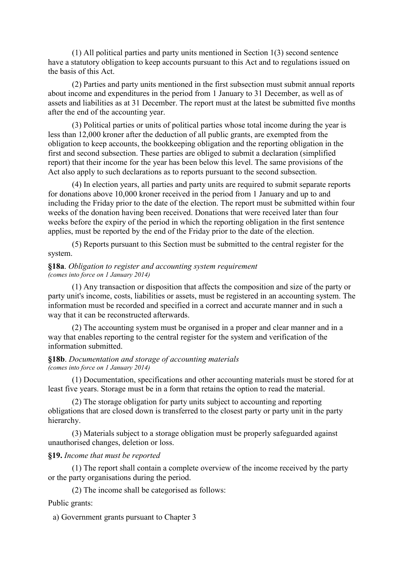(1) All political parties and party units mentioned in Section 1(3) second sentence have a statutory obligation to keep accounts pursuant to this Act and to regulations issued on the basis of this Act.

(2) Parties and party units mentioned in the first subsection must submit annual reports about income and expenditures in the period from 1 January to 31 December, as well as of assets and liabilities as at 31 December. The report must at the latest be submitted five months after the end of the accounting year.

(3) Political parties or units of political parties whose total income during the year is less than 12,000 kroner after the deduction of all public grants, are exempted from the obligation to keep accounts, the bookkeeping obligation and the reporting obligation in the first and second subsection. These parties are obliged to submit a declaration (simplified report) that their income for the year has been below this level. The same provisions of the Act also apply to such declarations as to reports pursuant to the second subsection.

(4) In election years, all parties and party units are required to submit separate reports for donations above 10,000 kroner received in the period from 1 January and up to and including the Friday prior to the date of the election. The report must be submitted within four weeks of the donation having been received. Donations that were received later than four weeks before the expiry of the period in which the reporting obligation in the first sentence applies, must be reported by the end of the Friday prior to the date of the election.

(5) Reports pursuant to this Section must be submitted to the central register for the system.

### **§18a**. *Obligation to register and accounting system requirement (comes into force on 1 January 2014)*

(1) Any transaction or disposition that affects the composition and size of the party or party unit's income, costs, liabilities or assets, must be registered in an accounting system. The information must be recorded and specified in a correct and accurate manner and in such a way that it can be reconstructed afterwards.

(2) The accounting system must be organised in a proper and clear manner and in a way that enables reporting to the central register for the system and verification of the information submitted.

### **§18b**. *Documentation and storage of accounting materials (comes into force on 1 January 2014)*

(1) Documentation, specifications and other accounting materials must be stored for at least five years. Storage must be in a form that retains the option to read the material.

(2) The storage obligation for party units subject to accounting and reporting obligations that are closed down is transferred to the closest party or party unit in the party hierarchy.

(3) Materials subject to a storage obligation must be properly safeguarded against unauthorised changes, deletion or loss.

### **§19.** *Income that must be reported*

(1) The report shall contain a complete overview of the income received by the party or the party organisations during the period.

(2) The income shall be categorised as follows:

### Public grants:

a) Government grants pursuant to Chapter 3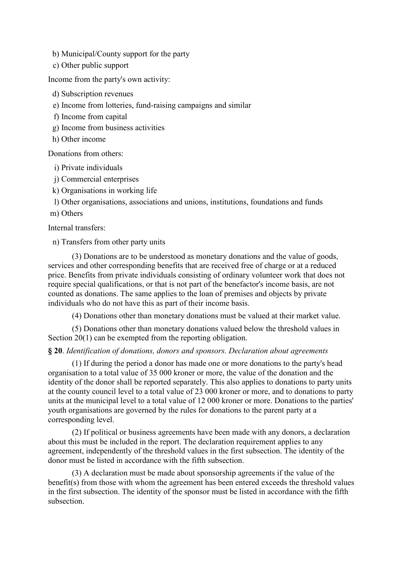- b) Municipal/County support for the party
- c) Other public support

Income from the party's own activity:

- d) Subscription revenues
- e) Income from lotteries, fund-raising campaigns and similar
- f) Income from capital
- g) Income from business activities
- h) Other income

Donations from others:

- i) Private individuals
- j) Commercial enterprises
- k) Organisations in working life

l) Other organisations, associations and unions, institutions, foundations and funds

m) Others

Internal transfers:

n) Transfers from other party units

(3) Donations are to be understood as monetary donations and the value of goods, services and other corresponding benefits that are received free of charge or at a reduced price. Benefits from private individuals consisting of ordinary volunteer work that does not require special qualifications, or that is not part of the benefactor's income basis, are not counted as donations. The same applies to the loan of premises and objects by private individuals who do not have this as part of their income basis.

(4) Donations other than monetary donations must be valued at their market value.

(5) Donations other than monetary donations valued below the threshold values in Section 20(1) can be exempted from the reporting obligation.

### **§ 20**. *Identification of donations, donors and sponsors. Declaration about agreements*

(1) If during the period a donor has made one or more donations to the party's head organisation to a total value of 35 000 kroner or more, the value of the donation and the identity of the donor shall be reported separately. This also applies to donations to party units at the county council level to a total value of 23 000 kroner or more, and to donations to party units at the municipal level to a total value of 12 000 kroner or more. Donations to the parties' youth organisations are governed by the rules for donations to the parent party at a corresponding level.

(2) If political or business agreements have been made with any donors, a declaration about this must be included in the report. The declaration requirement applies to any agreement, independently of the threshold values in the first subsection. The identity of the donor must be listed in accordance with the fifth subsection.

(3) A declaration must be made about sponsorship agreements if the value of the benefit(s) from those with whom the agreement has been entered exceeds the threshold values in the first subsection. The identity of the sponsor must be listed in accordance with the fifth subsection.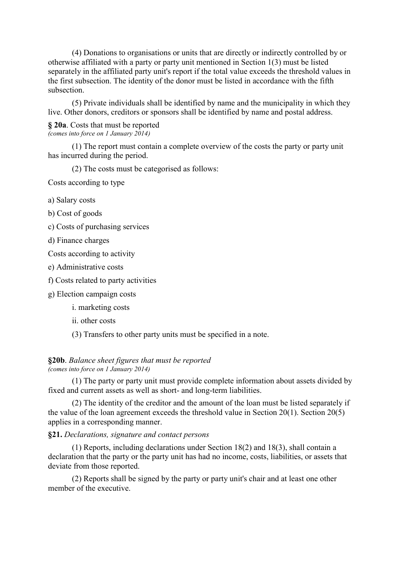(4) Donations to organisations or units that are directly or indirectly controlled by or otherwise affiliated with a party or party unit mentioned in Section 1(3) must be listed separately in the affiliated party unit's report if the total value exceeds the threshold values in the first subsection. The identity of the donor must be listed in accordance with the fifth subsection.

(5) Private individuals shall be identified by name and the municipality in which they live. Other donors, creditors or sponsors shall be identified by name and postal address.

### **§ 20a**. Costs that must be reported *(comes into force on 1 January 2014)*

(1) The report must contain a complete overview of the costs the party or party unit has incurred during the period.

(2) The costs must be categorised as follows:

Costs according to type

- a) Salary costs
- b) Cost of goods
- c) Costs of purchasing services
- d) Finance charges
- Costs according to activity
- e) Administrative costs
- f) Costs related to party activities
- g) Election campaign costs
	- i. marketing costs
	- ii. other costs
	- (3) Transfers to other party units must be specified in a note.

#### **§20b**. *Balance sheet figures that must be reported (comes into force on 1 January 2014)*

(1) The party or party unit must provide complete information about assets divided by fixed and current assets as well as short- and long-term liabilities.

(2) The identity of the creditor and the amount of the loan must be listed separately if the value of the loan agreement exceeds the threshold value in Section 20(1). Section 20(5) applies in a corresponding manner.

### **§21.** *Declarations, signature and contact persons*

(1) Reports, including declarations under Section 18(2) and 18(3), shall contain a declaration that the party or the party unit has had no income, costs, liabilities, or assets that deviate from those reported.

(2) Reports shall be signed by the party or party unit's chair and at least one other member of the executive.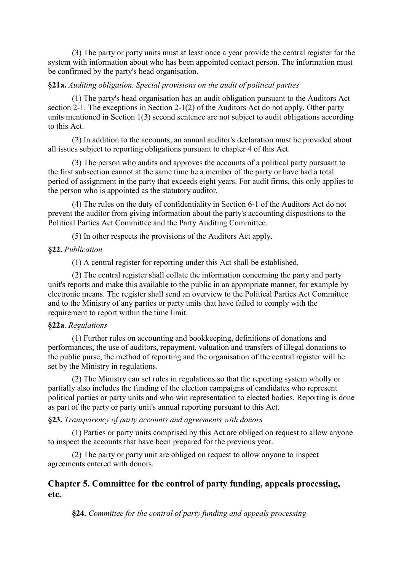(3) The party or party units must at least once a year provide the central register for the system with information about who has been appointed contact person. The information must be confirmed by the party's head organisation.

### **§21a.** *Auditing obligation. Special provisions on the audit of political parties*

(1) The party's head organisation has an audit obligation pursuant to the Auditors Act section 2-1. The exceptions in Section 2-1(2) of the Auditors Act do not apply. Other party units mentioned in Section 1(3) second sentence are not subject to audit obligations according to this Act.

(2) In addition to the accounts, an annual auditor's declaration must be provided about all issues subject to reporting obligations pursuant to chapter 4 of this Act.

(3) The person who audits and approves the accounts of a political party pursuant to the first subsection cannot at the same time be a member of the party or have had a total period of assignment in the party that exceeds eight years. For audit firms, this only applies to the person who is appointed as the statutory auditor.

(4) The rules on the duty of confidentiality in Section 6-1 of the Auditors Act do not prevent the auditor from giving information about the party's accounting dispositions to the Political Parties Act Committee and the Party Auditing Committee.

(5) In other respects the provisions of the Auditors Act apply.

### **§22.** *Publication*

(1) A central register for reporting under this Act shall be established.

(2) The central register shall collate the information concerning the party and party unit's reports and make this available to the public in an appropriate manner, for example by electronic means. The register shall send an overview to the Political Parties Act Committee and to the Ministry of any parties or party units that have failed to comply with the requirement to report within the time limit.

### **§22a**. *Regulations*

(1) Further rules on accounting and bookkeeping, definitions of donations and performances, the use of auditors, repayment, valuation and transfers of illegal donations to the public purse, the method of reporting and the organisation of the central register will be set by the Ministry in regulations.

(2) The Ministry can set rules in regulations so that the reporting system wholly or partially also includes the funding of the election campaigns of candidates who represent political parties or party units and who win representation to elected bodies. Reporting is done as part of the party or party unit's annual reporting pursuant to this Act.

### **§23.** *Transparency of party accounts and agreements with donors*

(1) Parties or party units comprised by this Act are obliged on request to allow anyone to inspect the accounts that have been prepared for the previous year.

(2) The party or party unit are obliged on request to allow anyone to inspect agreements entered with donors.

# **Chapter 5. Committee for the control of party funding, appeals processing, etc.**

**§24.** *Committee for the control of party funding and appeals processing*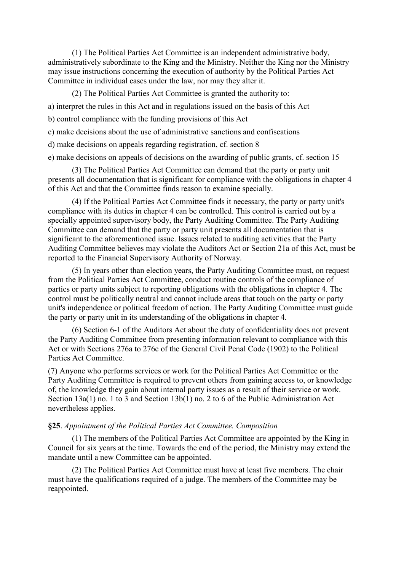(1) The Political Parties Act Committee is an independent administrative body, administratively subordinate to the King and the Ministry. Neither the King nor the Ministry may issue instructions concerning the execution of authority by the Political Parties Act Committee in individual cases under the law, nor may they alter it.

(2) The Political Parties Act Committee is granted the authority to:

a) interpret the rules in this Act and in regulations issued on the basis of this Act

b) control compliance with the funding provisions of this Act

c) make decisions about the use of administrative sanctions and confiscations

d) make decisions on appeals regarding registration, cf. section 8

e) make decisions on appeals of decisions on the awarding of public grants, cf. section 15

(3) The Political Parties Act Committee can demand that the party or party unit presents all documentation that is significant for compliance with the obligations in chapter 4 of this Act and that the Committee finds reason to examine specially.

(4) If the Political Parties Act Committee finds it necessary, the party or party unit's compliance with its duties in chapter 4 can be controlled. This control is carried out by a specially appointed supervisory body, the Party Auditing Committee. The Party Auditing Committee can demand that the party or party unit presents all documentation that is significant to the aforementioned issue. Issues related to auditing activities that the Party Auditing Committee believes may violate the Auditors Act or Section 21a of this Act, must be reported to the Financial Supervisory Authority of Norway.

(5) In years other than election years, the Party Auditing Committee must, on request from the Political Parties Act Committee, conduct routine controls of the compliance of parties or party units subject to reporting obligations with the obligations in chapter 4. The control must be politically neutral and cannot include areas that touch on the party or party unit's independence or political freedom of action. The Party Auditing Committee must guide the party or party unit in its understanding of the obligations in chapter 4.

(6) Section 6-1 of the Auditors Act about the duty of confidentiality does not prevent the Party Auditing Committee from presenting information relevant to compliance with this Act or with Sections 276a to 276c of the General Civil Penal Code (1902) to the Political Parties Act Committee.

(7) Anyone who performs services or work for the Political Parties Act Committee or the Party Auditing Committee is required to prevent others from gaining access to, or knowledge of, the knowledge they gain about internal party issues as a result of their service or work. Section 13a(1) no. 1 to 3 and Section 13b(1) no. 2 to 6 of the Public Administration Act nevertheless applies.

#### **§25**. *Appointment of the Political Parties Act Committee. Composition*

(1) The members of the Political Parties Act Committee are appointed by the King in Council for six years at the time. Towards the end of the period, the Ministry may extend the mandate until a new Committee can be appointed.

(2) The Political Parties Act Committee must have at least five members. The chair must have the qualifications required of a judge. The members of the Committee may be reappointed.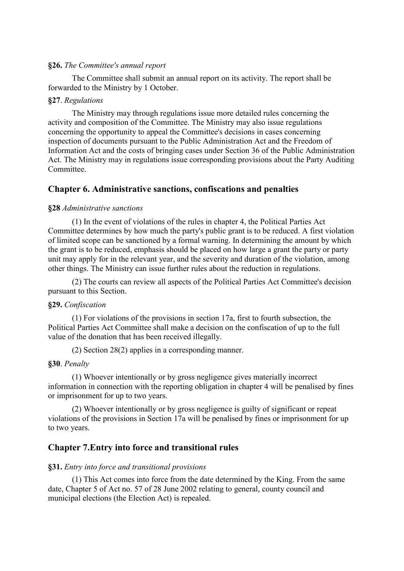### **§26.** *The Committee's annual report*

The Committee shall submit an annual report on its activity. The report shall be forwarded to the Ministry by 1 October.

### **§27**. *Regulations*

The Ministry may through regulations issue more detailed rules concerning the activity and composition of the Committee. The Ministry may also issue regulations concerning the opportunity to appeal the Committee's decisions in cases concerning inspection of documents pursuant to the Public Administration Act and the Freedom of Information Act and the costs of bringing cases under Section 36 of the Public Administration Act. The Ministry may in regulations issue corresponding provisions about the Party Auditing **Committee** 

### **Chapter 6. Administrative sanctions, confiscations and penalties**

### **§28** *Administrative sanctions*

(1) In the event of violations of the rules in chapter 4, the Political Parties Act Committee determines by how much the party's public grant is to be reduced. A first violation of limited scope can be sanctioned by a formal warning. In determining the amount by which the grant is to be reduced, emphasis should be placed on how large a grant the party or party unit may apply for in the relevant year, and the severity and duration of the violation, among other things. The Ministry can issue further rules about the reduction in regulations.

(2) The courts can review all aspects of the Political Parties Act Committee's decision pursuant to this Section.

#### **§29.** *Confiscation*

(1) For violations of the provisions in section 17a, first to fourth subsection, the Political Parties Act Committee shall make a decision on the confiscation of up to the full value of the donation that has been received illegally.

(2) Section 28(2) applies in a corresponding manner.

#### **§30**. *Penalty*

(1) Whoever intentionally or by gross negligence gives materially incorrect information in connection with the reporting obligation in chapter 4 will be penalised by fines or imprisonment for up to two years.

(2) Whoever intentionally or by gross negligence is guilty of significant or repeat violations of the provisions in Section 17a will be penalised by fines or imprisonment for up to two years.

### **Chapter 7.Entry into force and transitional rules**

#### **§31.** *Entry into force and transitional provisions*

(1) This Act comes into force from the date determined by the King. From the same date, Chapter 5 of Act no. 57 of 28 June 2002 relating to general, county council and municipal elections (the Election Act) is repealed.